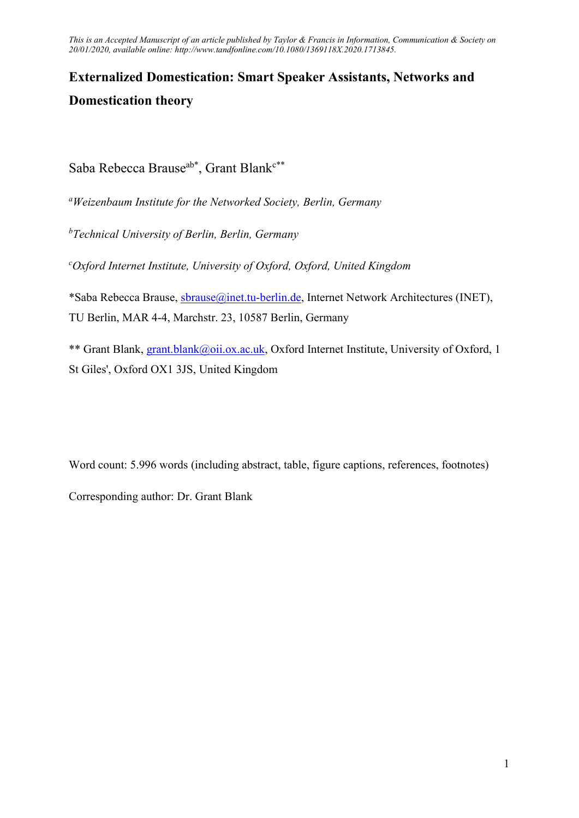# Externalized Domestication: Smart Speaker Assistants, Networks and Domestication theory

Saba Rebecca Brause<sup>ab\*</sup>, Grant Blank<sup>c\*\*</sup>

<sup>a</sup>Weizenbaum Institute for the Networked Society, Berlin, Germany

 $<sup>b</sup> Technical University of Berlin, Berlin, Germany$ </sup>

 $c$ Oxford Internet Institute, University of Oxford, Oxford, United Kingdom

\*Saba Rebecca Brause, sbrause@inet.tu-berlin.de, Internet Network Architectures (INET), TU Berlin, MAR 4-4, Marchstr. 23, 10587 Berlin, Germany

\*\* Grant Blank, grant.blank@oii.ox.ac.uk, Oxford Internet Institute, University of Oxford, 1 St Giles', Oxford OX1 3JS, United Kingdom

Word count: 5.996 words (including abstract, table, figure captions, references, footnotes)

Corresponding author: Dr. Grant Blank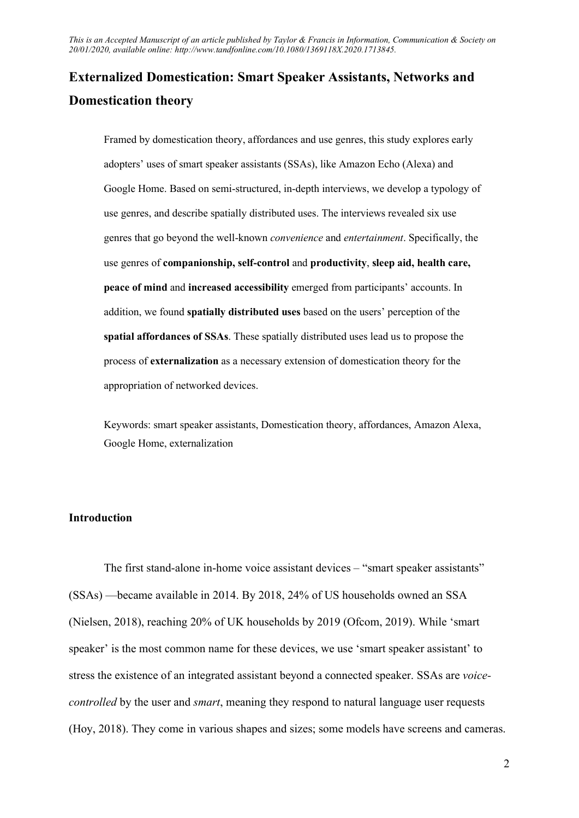## Externalized Domestication: Smart Speaker Assistants, Networks and Domestication theory

Framed by domestication theory, affordances and use genres, this study explores early adopters' uses of smart speaker assistants (SSAs), like Amazon Echo (Alexa) and Google Home. Based on semi-structured, in-depth interviews, we develop a typology of use genres, and describe spatially distributed uses. The interviews revealed six use genres that go beyond the well-known convenience and entertainment. Specifically, the use genres of companionship, self-control and productivity, sleep aid, health care, peace of mind and increased accessibility emerged from participants' accounts. In addition, we found spatially distributed uses based on the users' perception of the spatial affordances of SSAs. These spatially distributed uses lead us to propose the process of externalization as a necessary extension of domestication theory for the appropriation of networked devices.

Keywords: smart speaker assistants, Domestication theory, affordances, Amazon Alexa, Google Home, externalization

## Introduction

The first stand-alone in-home voice assistant devices – "smart speaker assistants" (SSAs) —became available in 2014. By 2018, 24% of US households owned an SSA (Nielsen, 2018), reaching 20% of UK households by 2019 (Ofcom, 2019). While 'smart speaker' is the most common name for these devices, we use 'smart speaker assistant' to stress the existence of an integrated assistant beyond a connected speaker. SSAs are voicecontrolled by the user and *smart*, meaning they respond to natural language user requests (Hoy, 2018). They come in various shapes and sizes; some models have screens and cameras.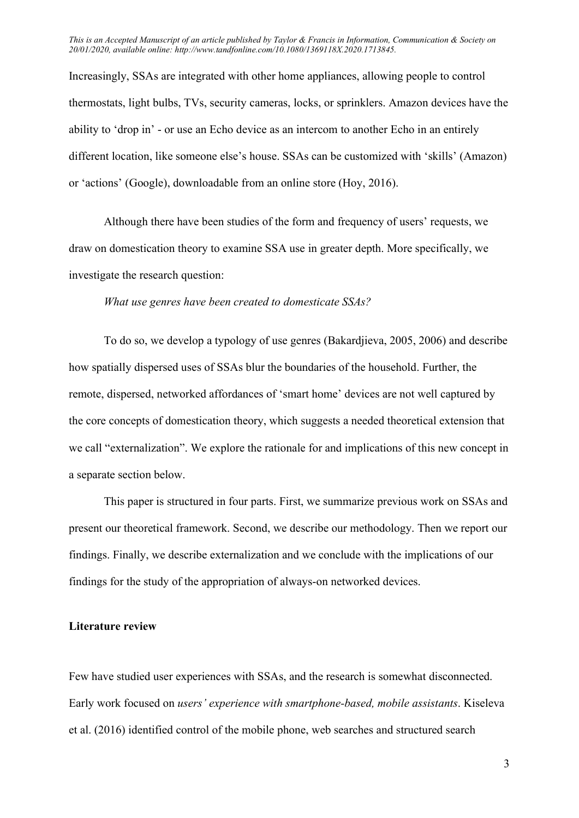Increasingly, SSAs are integrated with other home appliances, allowing people to control thermostats, light bulbs, TVs, security cameras, locks, or sprinklers. Amazon devices have the ability to 'drop in' - or use an Echo device as an intercom to another Echo in an entirely different location, like someone else's house. SSAs can be customized with 'skills' (Amazon) or 'actions' (Google), downloadable from an online store (Hoy, 2016).

Although there have been studies of the form and frequency of users' requests, we draw on domestication theory to examine SSA use in greater depth. More specifically, we investigate the research question:

#### What use genres have been created to domesticate SSAs?

To do so, we develop a typology of use genres (Bakardjieva, 2005, 2006) and describe how spatially dispersed uses of SSAs blur the boundaries of the household. Further, the remote, dispersed, networked affordances of 'smart home' devices are not well captured by the core concepts of domestication theory, which suggests a needed theoretical extension that we call "externalization". We explore the rationale for and implications of this new concept in a separate section below.

This paper is structured in four parts. First, we summarize previous work on SSAs and present our theoretical framework. Second, we describe our methodology. Then we report our findings. Finally, we describe externalization and we conclude with the implications of our findings for the study of the appropriation of always-on networked devices.

## Literature review

Few have studied user experiences with SSAs, and the research is somewhat disconnected. Early work focused on users' experience with smartphone-based, mobile assistants. Kiseleva et al. (2016) identified control of the mobile phone, web searches and structured search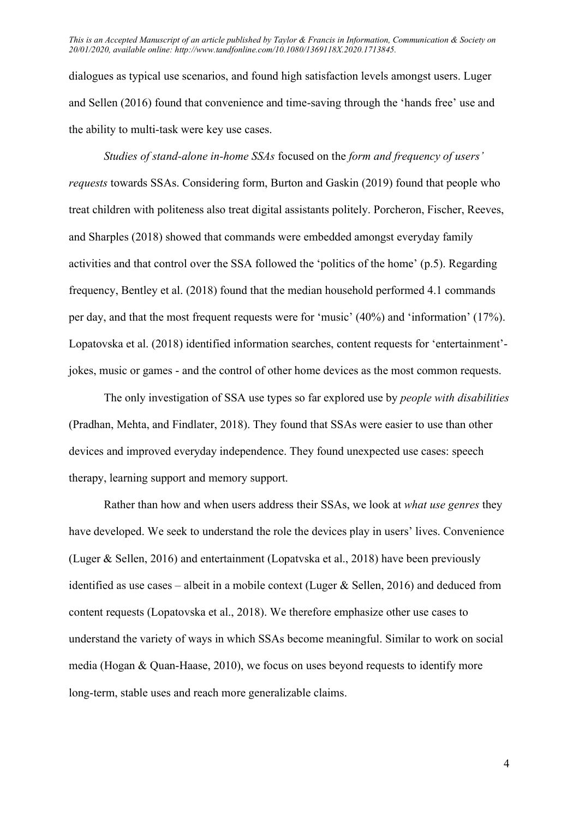dialogues as typical use scenarios, and found high satisfaction levels amongst users. Luger and Sellen (2016) found that convenience and time-saving through the 'hands free' use and the ability to multi-task were key use cases.

Studies of stand-alone in-home SSAs focused on the form and frequency of users' requests towards SSAs. Considering form, Burton and Gaskin (2019) found that people who treat children with politeness also treat digital assistants politely. Porcheron, Fischer, Reeves, and Sharples (2018) showed that commands were embedded amongst everyday family activities and that control over the SSA followed the 'politics of the home' (p.5). Regarding frequency, Bentley et al. (2018) found that the median household performed 4.1 commands per day, and that the most frequent requests were for 'music' (40%) and 'information' (17%). Lopatovska et al. (2018) identified information searches, content requests for 'entertainment' jokes, music or games - and the control of other home devices as the most common requests.

The only investigation of SSA use types so far explored use by *people with disabilities* (Pradhan, Mehta, and Findlater, 2018). They found that SSAs were easier to use than other devices and improved everyday independence. They found unexpected use cases: speech therapy, learning support and memory support.

Rather than how and when users address their SSAs, we look at what use genres they have developed. We seek to understand the role the devices play in users' lives. Convenience (Luger & Sellen, 2016) and entertainment (Lopatvska et al., 2018) have been previously identified as use cases – albeit in a mobile context (Luger & Sellen, 2016) and deduced from content requests (Lopatovska et al., 2018). We therefore emphasize other use cases to understand the variety of ways in which SSAs become meaningful. Similar to work on social media (Hogan & Quan-Haase, 2010), we focus on uses beyond requests to identify more long-term, stable uses and reach more generalizable claims.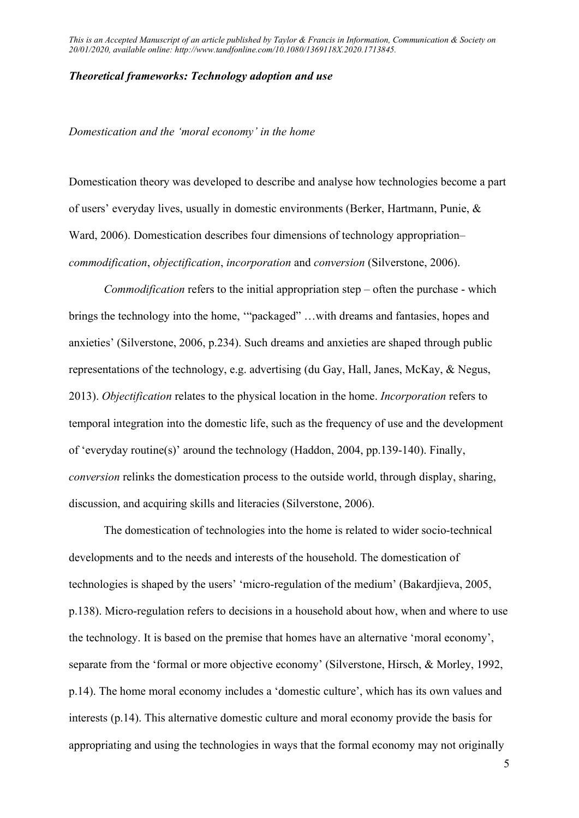### Theoretical frameworks: Technology adoption and use

Domestication and the 'moral economy' in the home

Domestication theory was developed to describe and analyse how technologies become a part of users' everyday lives, usually in domestic environments (Berker, Hartmann, Punie, & Ward, 2006). Domestication describes four dimensions of technology appropriation– commodification, objectification, incorporation and conversion (Silverstone, 2006).

*Commodification* refers to the initial appropriation step  $-$  often the purchase  $-$  which brings the technology into the home, '"packaged" …with dreams and fantasies, hopes and anxieties' (Silverstone, 2006, p.234). Such dreams and anxieties are shaped through public representations of the technology, e.g. advertising (du Gay, Hall, Janes, McKay, & Negus, 2013). Objectification relates to the physical location in the home. Incorporation refers to temporal integration into the domestic life, such as the frequency of use and the development of 'everyday routine(s)' around the technology (Haddon, 2004, pp.139-140). Finally, conversion relinks the domestication process to the outside world, through display, sharing, discussion, and acquiring skills and literacies (Silverstone, 2006).

The domestication of technologies into the home is related to wider socio-technical developments and to the needs and interests of the household. The domestication of technologies is shaped by the users' 'micro-regulation of the medium' (Bakardjieva, 2005, p.138). Micro-regulation refers to decisions in a household about how, when and where to use the technology. It is based on the premise that homes have an alternative 'moral economy', separate from the 'formal or more objective economy' (Silverstone, Hirsch, & Morley, 1992, p.14). The home moral economy includes a 'domestic culture', which has its own values and interests (p.14). This alternative domestic culture and moral economy provide the basis for appropriating and using the technologies in ways that the formal economy may not originally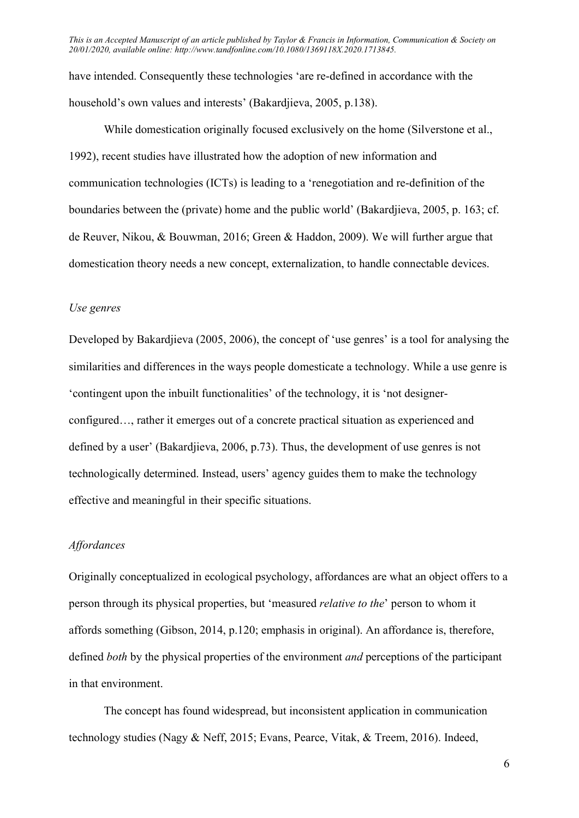have intended. Consequently these technologies 'are re-defined in accordance with the household's own values and interests' (Bakardjieva, 2005, p.138).

While domestication originally focused exclusively on the home (Silverstone et al., 1992), recent studies have illustrated how the adoption of new information and communication technologies (ICTs) is leading to a 'renegotiation and re-definition of the boundaries between the (private) home and the public world' (Bakardjieva, 2005, p. 163; cf. de Reuver, Nikou, & Bouwman, 2016; Green & Haddon, 2009). We will further argue that domestication theory needs a new concept, externalization, to handle connectable devices.

#### Use genres

Developed by Bakardjieva (2005, 2006), the concept of 'use genres' is a tool for analysing the similarities and differences in the ways people domesticate a technology. While a use genre is 'contingent upon the inbuilt functionalities' of the technology, it is 'not designerconfigured…, rather it emerges out of a concrete practical situation as experienced and defined by a user' (Bakardjieva, 2006, p.73). Thus, the development of use genres is not technologically determined. Instead, users' agency guides them to make the technology effective and meaningful in their specific situations.

#### Affordances

Originally conceptualized in ecological psychology, affordances are what an object offers to a person through its physical properties, but 'measured relative to the' person to whom it affords something (Gibson, 2014, p.120; emphasis in original). An affordance is, therefore, defined both by the physical properties of the environment *and* perceptions of the participant in that environment.

The concept has found widespread, but inconsistent application in communication technology studies (Nagy & Neff, 2015; Evans, Pearce, Vitak, & Treem, 2016). Indeed,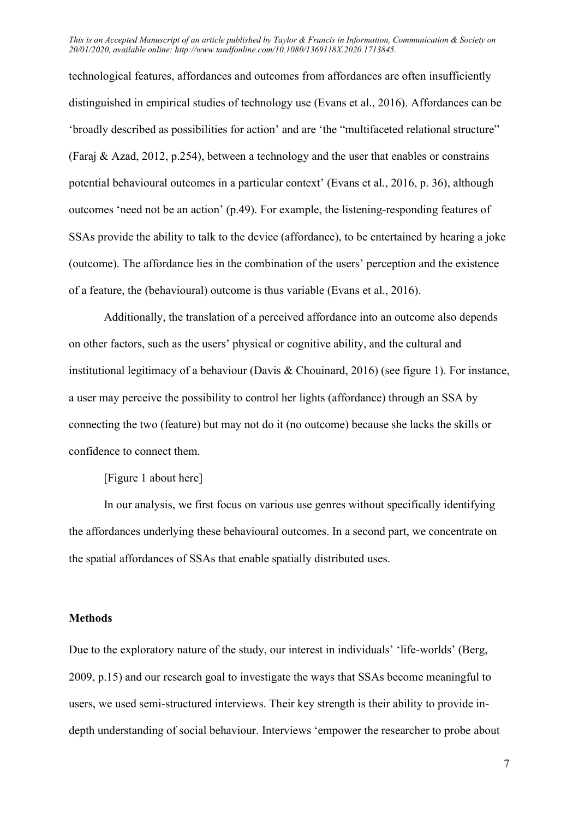technological features, affordances and outcomes from affordances are often insufficiently distinguished in empirical studies of technology use (Evans et al., 2016). Affordances can be 'broadly described as possibilities for action' and are 'the "multifaceted relational structure" (Faraj & Azad, 2012, p.254), between a technology and the user that enables or constrains potential behavioural outcomes in a particular context' (Evans et al., 2016, p. 36), although outcomes 'need not be an action' (p.49). For example, the listening-responding features of SSAs provide the ability to talk to the device (affordance), to be entertained by hearing a joke (outcome). The affordance lies in the combination of the users' perception and the existence of a feature, the (behavioural) outcome is thus variable (Evans et al., 2016).

Additionally, the translation of a perceived affordance into an outcome also depends on other factors, such as the users' physical or cognitive ability, and the cultural and institutional legitimacy of a behaviour (Davis & Chouinard, 2016) (see figure 1). For instance, a user may perceive the possibility to control her lights (affordance) through an SSA by connecting the two (feature) but may not do it (no outcome) because she lacks the skills or confidence to connect them.

[Figure 1 about here]

In our analysis, we first focus on various use genres without specifically identifying the affordances underlying these behavioural outcomes. In a second part, we concentrate on the spatial affordances of SSAs that enable spatially distributed uses.

#### Methods

Due to the exploratory nature of the study, our interest in individuals' 'life-worlds' (Berg, 2009, p.15) and our research goal to investigate the ways that SSAs become meaningful to users, we used semi-structured interviews. Their key strength is their ability to provide indepth understanding of social behaviour. Interviews 'empower the researcher to probe about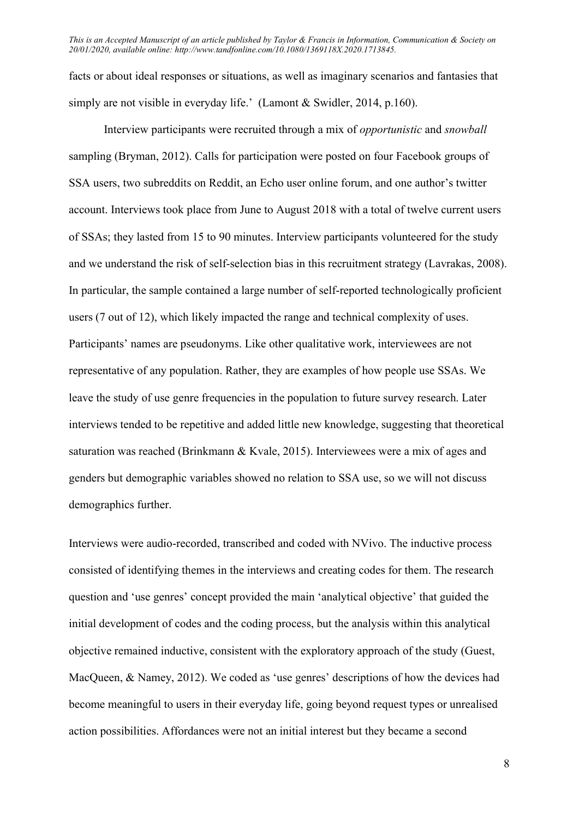facts or about ideal responses or situations, as well as imaginary scenarios and fantasies that simply are not visible in everyday life.' (Lamont & Swidler, 2014, p.160).

Interview participants were recruited through a mix of opportunistic and snowball sampling (Bryman, 2012). Calls for participation were posted on four Facebook groups of SSA users, two subreddits on Reddit, an Echo user online forum, and one author's twitter account. Interviews took place from June to August 2018 with a total of twelve current users of SSAs; they lasted from 15 to 90 minutes. Interview participants volunteered for the study and we understand the risk of self-selection bias in this recruitment strategy (Lavrakas, 2008). In particular, the sample contained a large number of self-reported technologically proficient users (7 out of 12), which likely impacted the range and technical complexity of uses. Participants' names are pseudonyms. Like other qualitative work, interviewees are not representative of any population. Rather, they are examples of how people use SSAs. We leave the study of use genre frequencies in the population to future survey research. Later interviews tended to be repetitive and added little new knowledge, suggesting that theoretical saturation was reached (Brinkmann & Kvale, 2015). Interviewees were a mix of ages and genders but demographic variables showed no relation to SSA use, so we will not discuss demographics further.

Interviews were audio-recorded, transcribed and coded with NVivo. The inductive process consisted of identifying themes in the interviews and creating codes for them. The research question and 'use genres' concept provided the main 'analytical objective' that guided the initial development of codes and the coding process, but the analysis within this analytical objective remained inductive, consistent with the exploratory approach of the study (Guest, MacQueen, & Namey, 2012). We coded as 'use genres' descriptions of how the devices had become meaningful to users in their everyday life, going beyond request types or unrealised action possibilities. Affordances were not an initial interest but they became a second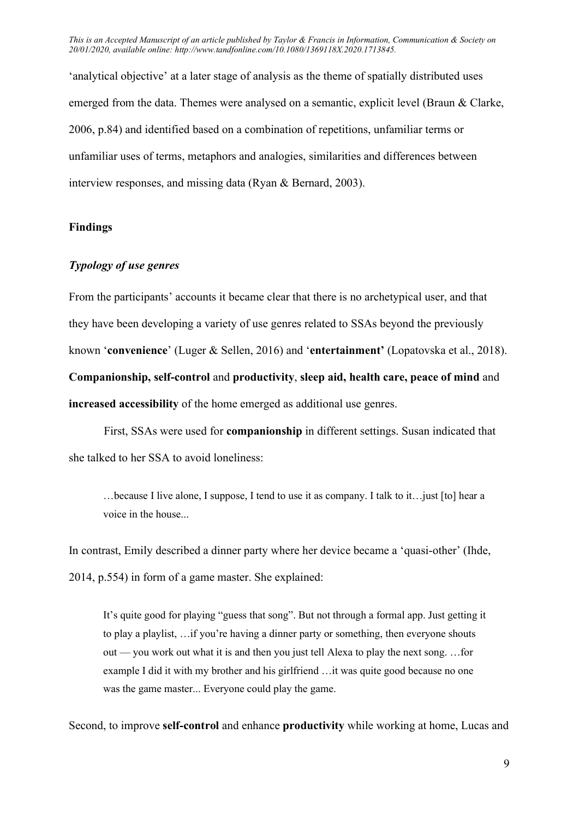'analytical objective' at a later stage of analysis as the theme of spatially distributed uses emerged from the data. Themes were analysed on a semantic, explicit level (Braun & Clarke, 2006, p.84) and identified based on a combination of repetitions, unfamiliar terms or unfamiliar uses of terms, metaphors and analogies, similarities and differences between interview responses, and missing data (Ryan & Bernard, 2003).

## Findings

## Typology of use genres

From the participants' accounts it became clear that there is no archetypical user, and that they have been developing a variety of use genres related to SSAs beyond the previously known 'convenience' (Luger & Sellen, 2016) and 'entertainment' (Lopatovska et al., 2018). Companionship, self-control and productivity, sleep aid, health care, peace of mind and increased accessibility of the home emerged as additional use genres.

First, SSAs were used for companionship in different settings. Susan indicated that she talked to her SSA to avoid loneliness:

…because I live alone, I suppose, I tend to use it as company. I talk to it…just [to] hear a voice in the house...

In contrast, Emily described a dinner party where her device became a 'quasi-other' (Ihde, 2014, p.554) in form of a game master. She explained:

It's quite good for playing "guess that song". But not through a formal app. Just getting it to play a playlist, …if you're having a dinner party or something, then everyone shouts out — you work out what it is and then you just tell Alexa to play the next song. …for example I did it with my brother and his girlfriend …it was quite good because no one was the game master... Everyone could play the game.

Second, to improve self-control and enhance productivity while working at home, Lucas and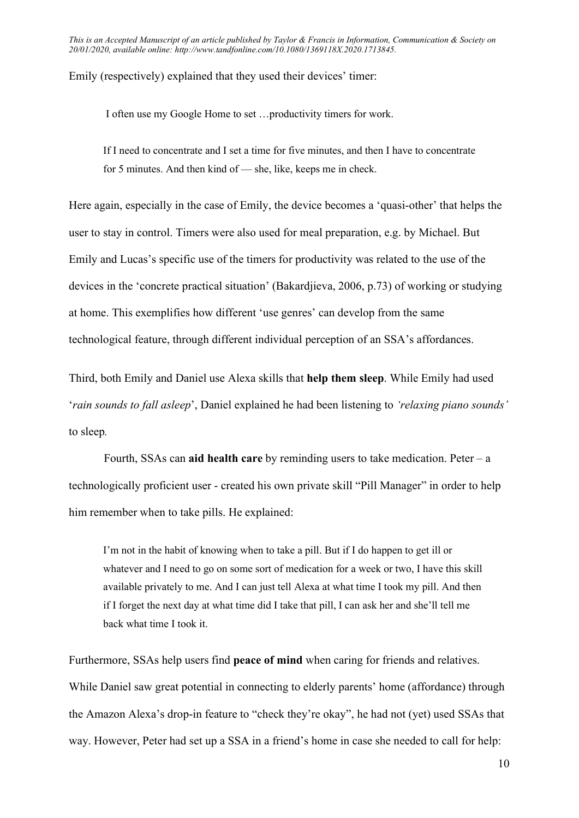Emily (respectively) explained that they used their devices' timer:

I often use my Google Home to set …productivity timers for work.

If I need to concentrate and I set a time for five minutes, and then I have to concentrate for 5 minutes. And then kind of — she, like, keeps me in check.

Here again, especially in the case of Emily, the device becomes a 'quasi-other' that helps the user to stay in control. Timers were also used for meal preparation, e.g. by Michael. But Emily and Lucas's specific use of the timers for productivity was related to the use of the devices in the 'concrete practical situation' (Bakardjieva, 2006, p.73) of working or studying at home. This exemplifies how different 'use genres' can develop from the same technological feature, through different individual perception of an SSA's affordances.

Third, both Emily and Daniel use Alexa skills that help them sleep. While Emily had used 'rain sounds to fall asleep', Daniel explained he had been listening to 'relaxing piano sounds' to sleep.

Fourth, SSAs can aid health care by reminding users to take medication. Peter  $-$  a technologically proficient user - created his own private skill "Pill Manager" in order to help him remember when to take pills. He explained:

I'm not in the habit of knowing when to take a pill. But if I do happen to get ill or whatever and I need to go on some sort of medication for a week or two, I have this skill available privately to me. And I can just tell Alexa at what time I took my pill. And then if I forget the next day at what time did I take that pill, I can ask her and she'll tell me back what time I took it.

Furthermore, SSAs help users find peace of mind when caring for friends and relatives. While Daniel saw great potential in connecting to elderly parents' home (affordance) through the Amazon Alexa's drop-in feature to "check they're okay", he had not (yet) used SSAs that way. However, Peter had set up a SSA in a friend's home in case she needed to call for help: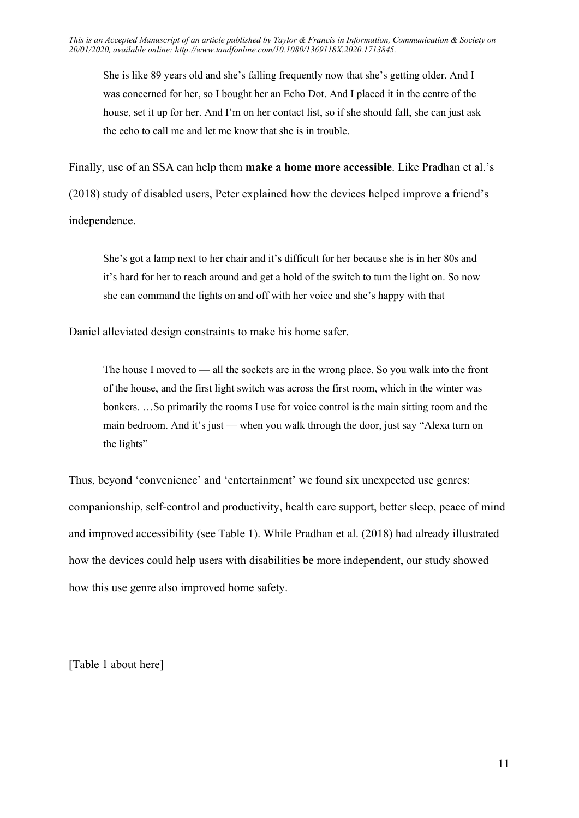She is like 89 years old and she's falling frequently now that she's getting older. And I was concerned for her, so I bought her an Echo Dot. And I placed it in the centre of the house, set it up for her. And I'm on her contact list, so if she should fall, she can just ask the echo to call me and let me know that she is in trouble.

Finally, use of an SSA can help them make a home more accessible. Like Pradhan et al.'s (2018) study of disabled users, Peter explained how the devices helped improve a friend's independence.

She's got a lamp next to her chair and it's difficult for her because she is in her 80s and it's hard for her to reach around and get a hold of the switch to turn the light on. So now she can command the lights on and off with her voice and she's happy with that

Daniel alleviated design constraints to make his home safer.

The house I moved to — all the sockets are in the wrong place. So you walk into the front of the house, and the first light switch was across the first room, which in the winter was bonkers. …So primarily the rooms I use for voice control is the main sitting room and the main bedroom. And it's just — when you walk through the door, just say "Alexa turn on the lights"

Thus, beyond 'convenience' and 'entertainment' we found six unexpected use genres: companionship, self-control and productivity, health care support, better sleep, peace of mind and improved accessibility (see Table 1). While Pradhan et al. (2018) had already illustrated how the devices could help users with disabilities be more independent, our study showed how this use genre also improved home safety.

[Table 1 about here]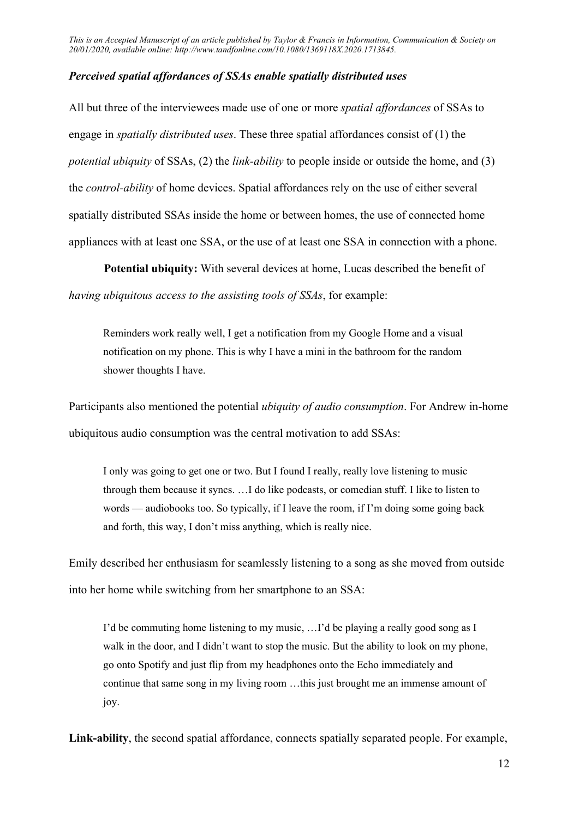## Perceived spatial affordances of SSAs enable spatially distributed uses

All but three of the interviewees made use of one or more *spatial affordances* of SSAs to engage in spatially distributed uses. These three spatial affordances consist of (1) the potential ubiquity of SSAs, (2) the link-ability to people inside or outside the home, and (3) the control-ability of home devices. Spatial affordances rely on the use of either several spatially distributed SSAs inside the home or between homes, the use of connected home appliances with at least one SSA, or the use of at least one SSA in connection with a phone.

Potential ubiquity: With several devices at home, Lucas described the benefit of having ubiquitous access to the assisting tools of SSAs, for example:

Reminders work really well, I get a notification from my Google Home and a visual notification on my phone. This is why I have a mini in the bathroom for the random shower thoughts I have.

Participants also mentioned the potential ubiquity of audio consumption. For Andrew in-home ubiquitous audio consumption was the central motivation to add SSAs:

I only was going to get one or two. But I found I really, really love listening to music through them because it syncs. …I do like podcasts, or comedian stuff. I like to listen to words — audiobooks too. So typically, if I leave the room, if I'm doing some going back and forth, this way, I don't miss anything, which is really nice.

Emily described her enthusiasm for seamlessly listening to a song as she moved from outside into her home while switching from her smartphone to an SSA:

I'd be commuting home listening to my music, …I'd be playing a really good song as I walk in the door, and I didn't want to stop the music. But the ability to look on my phone, go onto Spotify and just flip from my headphones onto the Echo immediately and continue that same song in my living room …this just brought me an immense amount of joy.

Link-ability, the second spatial affordance, connects spatially separated people. For example,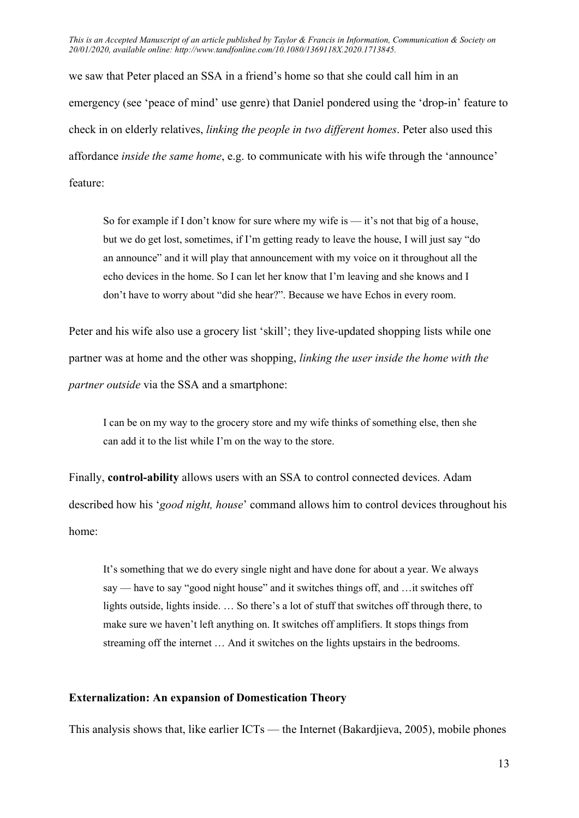we saw that Peter placed an SSA in a friend's home so that she could call him in an emergency (see 'peace of mind' use genre) that Daniel pondered using the 'drop-in' feature to check in on elderly relatives, linking the people in two different homes. Peter also used this affordance inside the same home, e.g. to communicate with his wife through the 'announce' feature:

So for example if I don't know for sure where my wife is — it's not that big of a house, but we do get lost, sometimes, if I'm getting ready to leave the house, I will just say "do an announce" and it will play that announcement with my voice on it throughout all the echo devices in the home. So I can let her know that I'm leaving and she knows and I don't have to worry about "did she hear?". Because we have Echos in every room.

Peter and his wife also use a grocery list 'skill'; they live-updated shopping lists while one partner was at home and the other was shopping, linking the user inside the home with the partner outside via the SSA and a smartphone:

I can be on my way to the grocery store and my wife thinks of something else, then she can add it to the list while I'm on the way to the store.

Finally, control-ability allows users with an SSA to control connected devices. Adam described how his 'good night, house' command allows him to control devices throughout his home:

It's something that we do every single night and have done for about a year. We always say — have to say "good night house" and it switches things off, and …it switches off lights outside, lights inside. … So there's a lot of stuff that switches off through there, to make sure we haven't left anything on. It switches off amplifiers. It stops things from streaming off the internet … And it switches on the lights upstairs in the bedrooms.

## Externalization: An expansion of Domestication Theory

This analysis shows that, like earlier ICTs — the Internet (Bakardjieva, 2005), mobile phones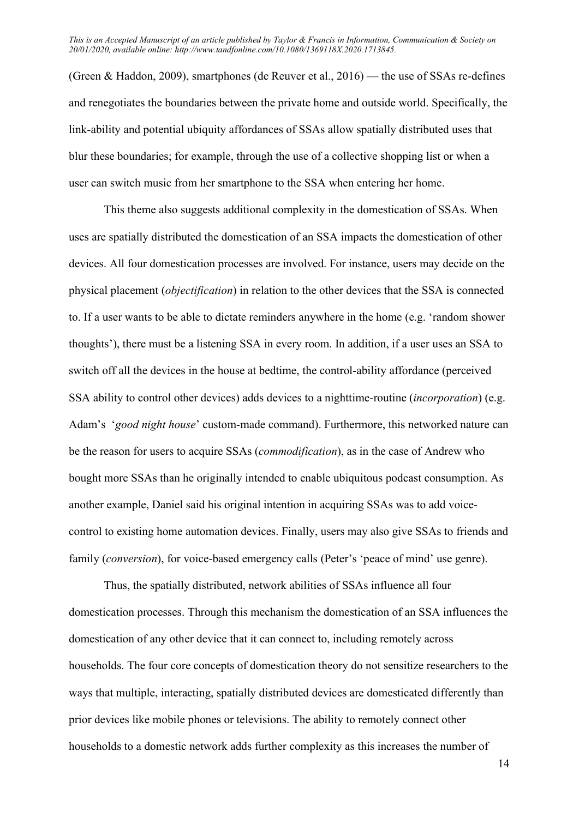(Green & Haddon, 2009), smartphones (de Reuver et al., 2016) — the use of SSAs re-defines and renegotiates the boundaries between the private home and outside world. Specifically, the link-ability and potential ubiquity affordances of SSAs allow spatially distributed uses that blur these boundaries; for example, through the use of a collective shopping list or when a user can switch music from her smartphone to the SSA when entering her home.

This theme also suggests additional complexity in the domestication of SSAs. When uses are spatially distributed the domestication of an SSA impacts the domestication of other devices. All four domestication processes are involved. For instance, users may decide on the physical placement (objectification) in relation to the other devices that the SSA is connected to. If a user wants to be able to dictate reminders anywhere in the home (e.g. 'random shower thoughts'), there must be a listening SSA in every room. In addition, if a user uses an SSA to switch off all the devices in the house at bedtime, the control-ability affordance (perceived SSA ability to control other devices) adds devices to a nighttime-routine (incorporation) (e.g. Adam's 'good night house' custom-made command). Furthermore, this networked nature can be the reason for users to acquire SSAs (commodification), as in the case of Andrew who bought more SSAs than he originally intended to enable ubiquitous podcast consumption. As another example, Daniel said his original intention in acquiring SSAs was to add voicecontrol to existing home automation devices. Finally, users may also give SSAs to friends and family *(conversion*), for voice-based emergency calls *(Peter's 'peace of mind' use genre)*.

Thus, the spatially distributed, network abilities of SSAs influence all four domestication processes. Through this mechanism the domestication of an SSA influences the domestication of any other device that it can connect to, including remotely across households. The four core concepts of domestication theory do not sensitize researchers to the ways that multiple, interacting, spatially distributed devices are domesticated differently than prior devices like mobile phones or televisions. The ability to remotely connect other households to a domestic network adds further complexity as this increases the number of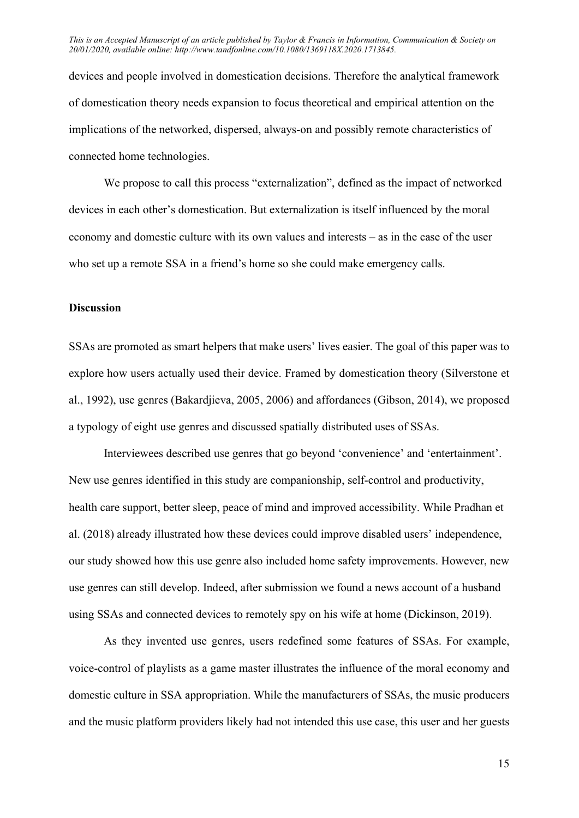devices and people involved in domestication decisions. Therefore the analytical framework of domestication theory needs expansion to focus theoretical and empirical attention on the implications of the networked, dispersed, always-on and possibly remote characteristics of connected home technologies.

We propose to call this process "externalization", defined as the impact of networked devices in each other's domestication. But externalization is itself influenced by the moral economy and domestic culture with its own values and interests – as in the case of the user who set up a remote SSA in a friend's home so she could make emergency calls.

### **Discussion**

SSAs are promoted as smart helpers that make users' lives easier. The goal of this paper was to explore how users actually used their device. Framed by domestication theory (Silverstone et al., 1992), use genres (Bakardjieva, 2005, 2006) and affordances (Gibson, 2014), we proposed a typology of eight use genres and discussed spatially distributed uses of SSAs.

Interviewees described use genres that go beyond 'convenience' and 'entertainment'. New use genres identified in this study are companionship, self-control and productivity, health care support, better sleep, peace of mind and improved accessibility. While Pradhan et al. (2018) already illustrated how these devices could improve disabled users' independence, our study showed how this use genre also included home safety improvements. However, new use genres can still develop. Indeed, after submission we found a news account of a husband using SSAs and connected devices to remotely spy on his wife at home (Dickinson, 2019).

As they invented use genres, users redefined some features of SSAs. For example, voice-control of playlists as a game master illustrates the influence of the moral economy and domestic culture in SSA appropriation. While the manufacturers of SSAs, the music producers and the music platform providers likely had not intended this use case, this user and her guests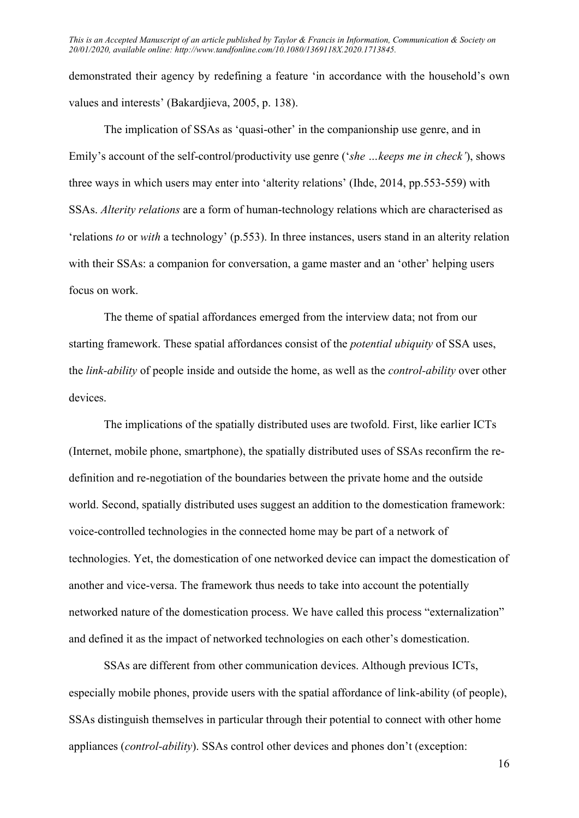demonstrated their agency by redefining a feature 'in accordance with the household's own values and interests' (Bakardjieva, 2005, p. 138).

The implication of SSAs as 'quasi-other' in the companionship use genre, and in Emily's account of the self-control/productivity use genre ('she ... keeps me in check'), shows three ways in which users may enter into 'alterity relations' (Ihde, 2014, pp.553-559) with SSAs. Alterity relations are a form of human-technology relations which are characterised as 'relations to or with a technology' (p.553). In three instances, users stand in an alterity relation with their SSAs: a companion for conversation, a game master and an 'other' helping users focus on work.

The theme of spatial affordances emerged from the interview data; not from our starting framework. These spatial affordances consist of the potential ubiquity of SSA uses, the *link-ability* of people inside and outside the home, as well as the *control-ability* over other devices.

The implications of the spatially distributed uses are twofold. First, like earlier ICTs (Internet, mobile phone, smartphone), the spatially distributed uses of SSAs reconfirm the redefinition and re-negotiation of the boundaries between the private home and the outside world. Second, spatially distributed uses suggest an addition to the domestication framework: voice-controlled technologies in the connected home may be part of a network of technologies. Yet, the domestication of one networked device can impact the domestication of another and vice-versa. The framework thus needs to take into account the potentially networked nature of the domestication process. We have called this process "externalization" and defined it as the impact of networked technologies on each other's domestication.

SSAs are different from other communication devices. Although previous ICTs, especially mobile phones, provide users with the spatial affordance of link-ability (of people), SSAs distinguish themselves in particular through their potential to connect with other home appliances (control-ability). SSAs control other devices and phones don't (exception: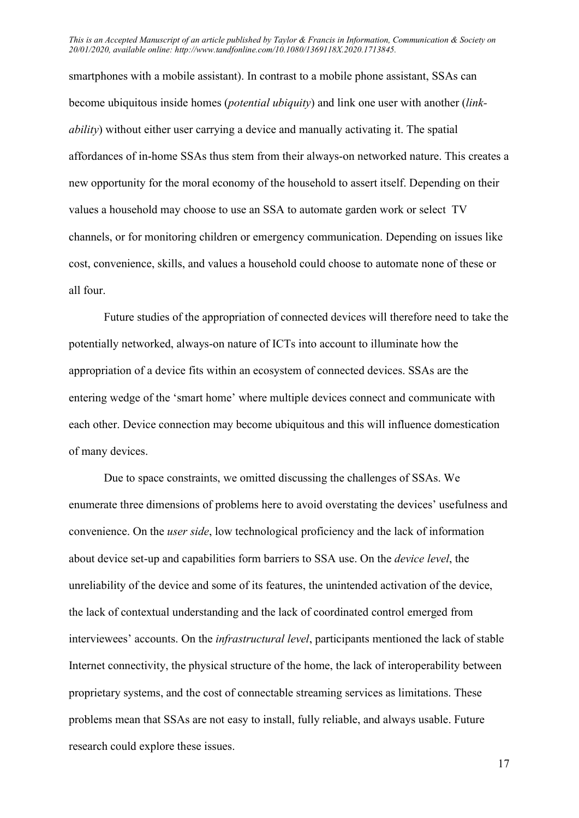smartphones with a mobile assistant). In contrast to a mobile phone assistant, SSAs can become ubiquitous inside homes (*potential ubiquity*) and link one user with another (*link*ability) without either user carrying a device and manually activating it. The spatial affordances of in-home SSAs thus stem from their always-on networked nature. This creates a new opportunity for the moral economy of the household to assert itself. Depending on their values a household may choose to use an SSA to automate garden work or select TV channels, or for monitoring children or emergency communication. Depending on issues like cost, convenience, skills, and values a household could choose to automate none of these or all four.

Future studies of the appropriation of connected devices will therefore need to take the potentially networked, always-on nature of ICTs into account to illuminate how the appropriation of a device fits within an ecosystem of connected devices. SSAs are the entering wedge of the 'smart home' where multiple devices connect and communicate with each other. Device connection may become ubiquitous and this will influence domestication of many devices.

Due to space constraints, we omitted discussing the challenges of SSAs. We enumerate three dimensions of problems here to avoid overstating the devices' usefulness and convenience. On the user side, low technological proficiency and the lack of information about device set-up and capabilities form barriers to SSA use. On the device level, the unreliability of the device and some of its features, the unintended activation of the device, the lack of contextual understanding and the lack of coordinated control emerged from interviewees' accounts. On the infrastructural level, participants mentioned the lack of stable Internet connectivity, the physical structure of the home, the lack of interoperability between proprietary systems, and the cost of connectable streaming services as limitations. These problems mean that SSAs are not easy to install, fully reliable, and always usable. Future research could explore these issues.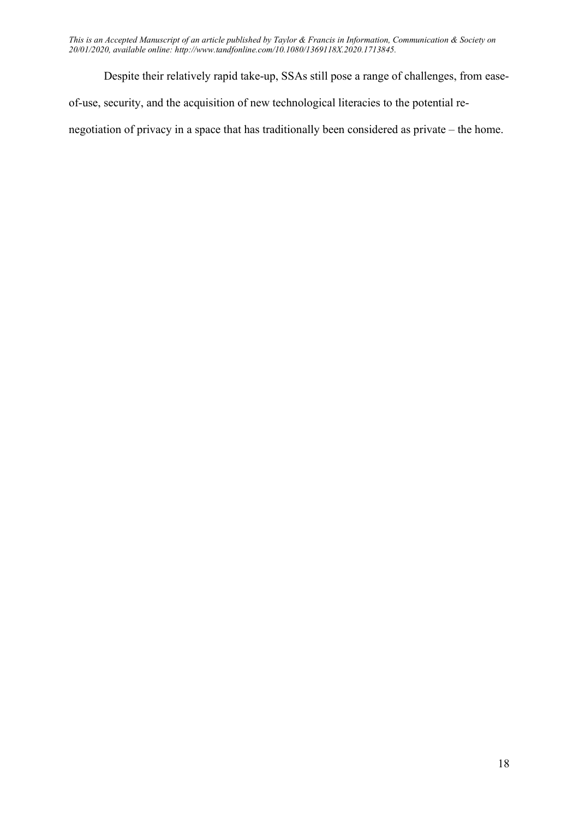Despite their relatively rapid take-up, SSAs still pose a range of challenges, from easeof-use, security, and the acquisition of new technological literacies to the potential renegotiation of privacy in a space that has traditionally been considered as private – the home.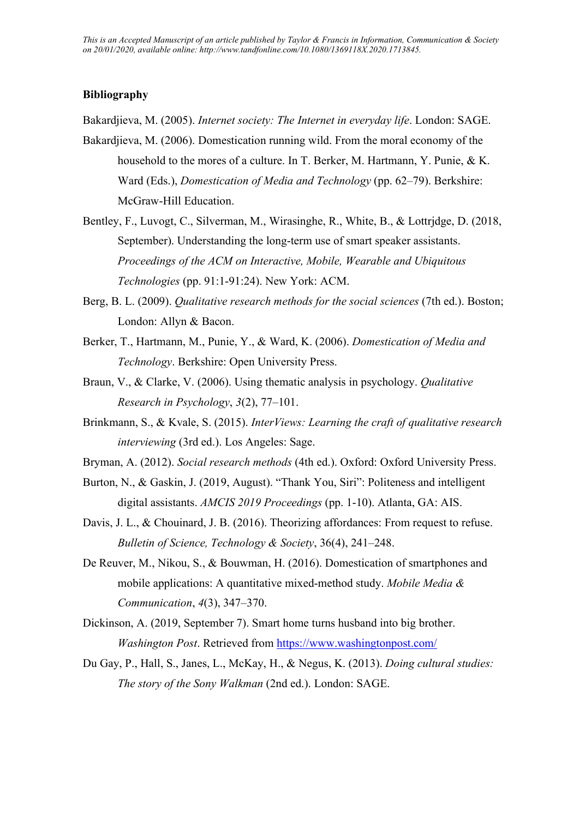## Bibliography

Bakardjieva, M. (2005). Internet society: The Internet in everyday life. London: SAGE.

- Bakardjieva, M. (2006). Domestication running wild. From the moral economy of the household to the mores of a culture. In T. Berker, M. Hartmann, Y. Punie, & K. Ward (Eds.), Domestication of Media and Technology (pp. 62–79). Berkshire: McGraw-Hill Education.
- Bentley, F., Luvogt, C., Silverman, M., Wirasinghe, R., White, B., & Lottrjdge, D. (2018, September). Understanding the long-term use of smart speaker assistants. Proceedings of the ACM on Interactive, Mobile, Wearable and Ubiquitous Technologies (pp. 91:1-91:24). New York: ACM.
- Berg, B. L. (2009). Qualitative research methods for the social sciences (7th ed.). Boston; London: Allyn & Bacon.
- Berker, T., Hartmann, M., Punie, Y., & Ward, K. (2006). Domestication of Media and Technology. Berkshire: Open University Press.
- Braun, V., & Clarke, V. (2006). Using thematic analysis in psychology. *Qualitative* Research in Psychology, 3(2), 77–101.
- Brinkmann, S., & Kvale, S. (2015). InterViews: Learning the craft of qualitative research interviewing (3rd ed.). Los Angeles: Sage.
- Bryman, A. (2012). Social research methods (4th ed.). Oxford: Oxford University Press.
- Burton, N., & Gaskin, J. (2019, August). "Thank You, Siri": Politeness and intelligent digital assistants. AMCIS 2019 Proceedings (pp. 1-10). Atlanta, GA: AIS.
- Davis, J. L., & Chouinard, J. B. (2016). Theorizing affordances: From request to refuse. Bulletin of Science, Technology & Society, 36(4), 241–248.
- De Reuver, M., Nikou, S., & Bouwman, H. (2016). Domestication of smartphones and mobile applications: A quantitative mixed-method study. Mobile Media & Communication, 4(3), 347–370.
- Dickinson, A. (2019, September 7). Smart home turns husband into big brother. Washington Post. Retrieved from https://www.washingtonpost.com/
- Du Gay, P., Hall, S., Janes, L., McKay, H., & Negus, K. (2013). Doing cultural studies: The story of the Sony Walkman (2nd ed.). London: SAGE.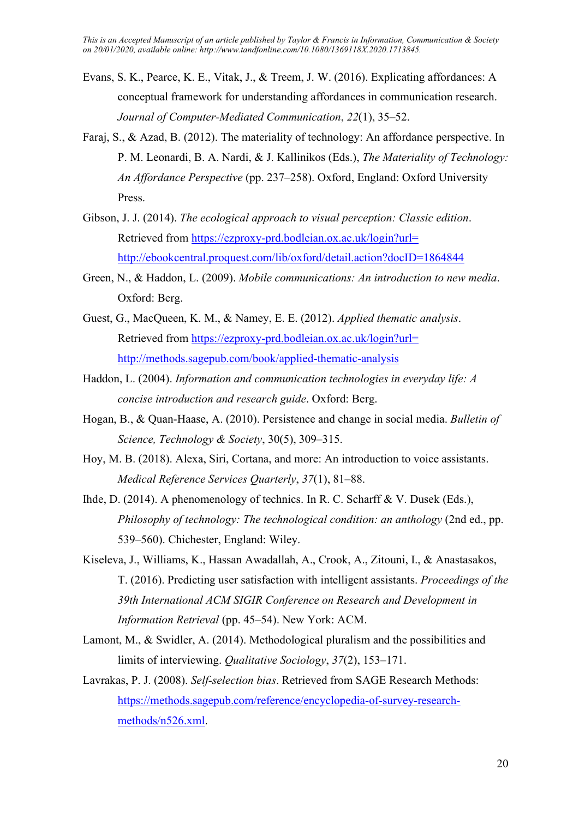- Evans, S. K., Pearce, K. E., Vitak, J., & Treem, J. W. (2016). Explicating affordances: A conceptual framework for understanding affordances in communication research. Journal of Computer-Mediated Communication, 22(1), 35–52.
- Faraj, S., & Azad, B. (2012). The materiality of technology: An affordance perspective. In P. M. Leonardi, B. A. Nardi, & J. Kallinikos (Eds.), The Materiality of Technology: An Affordance Perspective (pp. 237–258). Oxford, England: Oxford University Press.
- Gibson, J. J. (2014). The ecological approach to visual perception: Classic edition. Retrieved from https://ezproxy-prd.bodleian.ox.ac.uk/login?url= http://ebookcentral.proquest.com/lib/oxford/detail.action?docID=1864844
- Green, N., & Haddon, L. (2009). Mobile communications: An introduction to new media. Oxford: Berg.
- Guest, G., MacQueen, K. M., & Namey, E. E. (2012). Applied thematic analysis. Retrieved from https://ezproxy-prd.bodleian.ox.ac.uk/login?url= http://methods.sagepub.com/book/applied-thematic-analysis
- Haddon, L. (2004). Information and communication technologies in everyday life: A concise introduction and research guide. Oxford: Berg.
- Hogan, B., & Quan-Haase, A. (2010). Persistence and change in social media. Bulletin of Science, Technology & Society, 30(5), 309–315.
- Hoy, M. B. (2018). Alexa, Siri, Cortana, and more: An introduction to voice assistants. Medical Reference Services Quarterly, 37(1), 81–88.
- Ihde, D. (2014). A phenomenology of technics. In R. C. Scharff & V. Dusek (Eds.), Philosophy of technology: The technological condition: an anthology (2nd ed., pp. 539–560). Chichester, England: Wiley.
- Kiseleva, J., Williams, K., Hassan Awadallah, A., Crook, A., Zitouni, I., & Anastasakos, T. (2016). Predicting user satisfaction with intelligent assistants. Proceedings of the 39th International ACM SIGIR Conference on Research and Development in Information Retrieval (pp. 45–54). New York: ACM.
- Lamont, M., & Swidler, A. (2014). Methodological pluralism and the possibilities and limits of interviewing. Qualitative Sociology, 37(2), 153–171.
- Lavrakas, P. J. (2008). Self-selection bias. Retrieved from SAGE Research Methods: https://methods.sagepub.com/reference/encyclopedia-of-survey-researchmethods/n526.xml.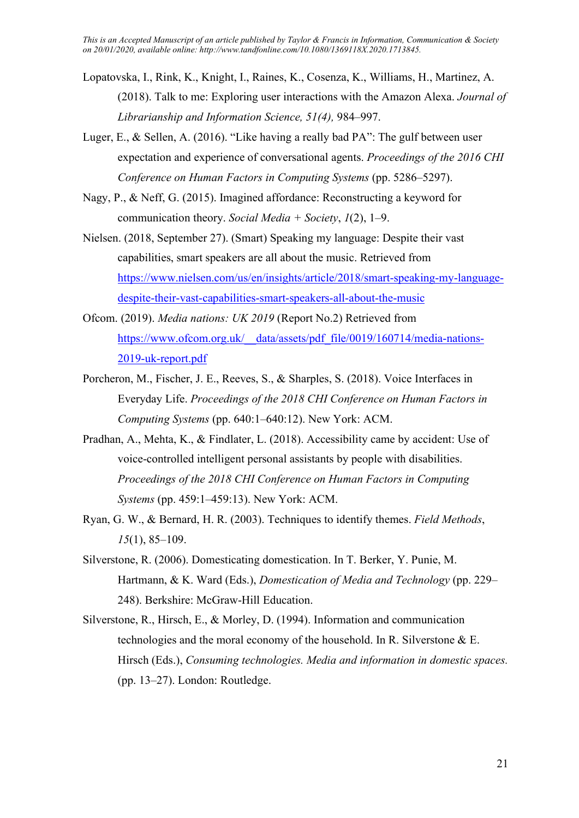- Lopatovska, I., Rink, K., Knight, I., Raines, K., Cosenza, K., Williams, H., Martinez, A. (2018). Talk to me: Exploring user interactions with the Amazon Alexa. Journal of Librarianship and Information Science, 51(4), 984–997.
- Luger, E., & Sellen, A. (2016). "Like having a really bad PA": The gulf between user expectation and experience of conversational agents. Proceedings of the 2016 CHI Conference on Human Factors in Computing Systems (pp. 5286–5297).
- Nagy, P., & Neff, G. (2015). Imagined affordance: Reconstructing a keyword for communication theory. Social Media + Society,  $1(2)$ , 1–9.
- Nielsen. (2018, September 27). (Smart) Speaking my language: Despite their vast capabilities, smart speakers are all about the music. Retrieved from https://www.nielsen.com/us/en/insights/article/2018/smart-speaking-my-languagedespite-their-vast-capabilities-smart-speakers-all-about-the-music
- Ofcom. (2019). Media nations: UK 2019 (Report No.2) Retrieved from https://www.ofcom.org.uk/ data/assets/pdf file/0019/160714/media-nations-2019-uk-report.pdf
- Porcheron, M., Fischer, J. E., Reeves, S., & Sharples, S. (2018). Voice Interfaces in Everyday Life. Proceedings of the 2018 CHI Conference on Human Factors in Computing Systems (pp. 640:1–640:12). New York: ACM.
- Pradhan, A., Mehta, K., & Findlater, L. (2018). Accessibility came by accident: Use of voice-controlled intelligent personal assistants by people with disabilities. Proceedings of the 2018 CHI Conference on Human Factors in Computing Systems (pp. 459:1–459:13). New York: ACM.
- Ryan, G. W., & Bernard, H. R. (2003). Techniques to identify themes. Field Methods, 15(1), 85–109.
- Silverstone, R. (2006). Domesticating domestication. In T. Berker, Y. Punie, M. Hartmann, & K. Ward (Eds.), Domestication of Media and Technology (pp. 229– 248). Berkshire: McGraw-Hill Education.
- Silverstone, R., Hirsch, E., & Morley, D. (1994). Information and communication technologies and the moral economy of the household. In R. Silverstone & E. Hirsch (Eds.), Consuming technologies. Media and information in domestic spaces. (pp. 13–27). London: Routledge.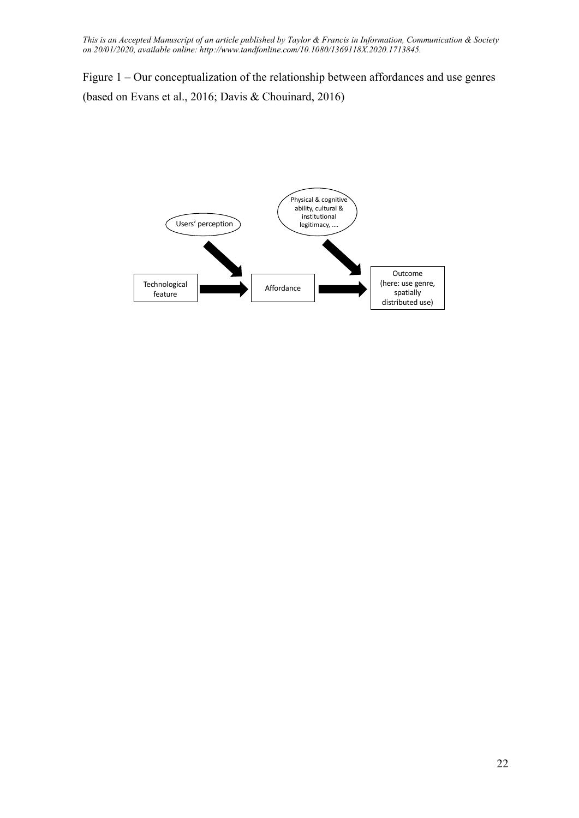Figure 1 – Our conceptualization of the relationship between affordances and use genres (based on Evans et al., 2016; Davis & Chouinard, 2016)